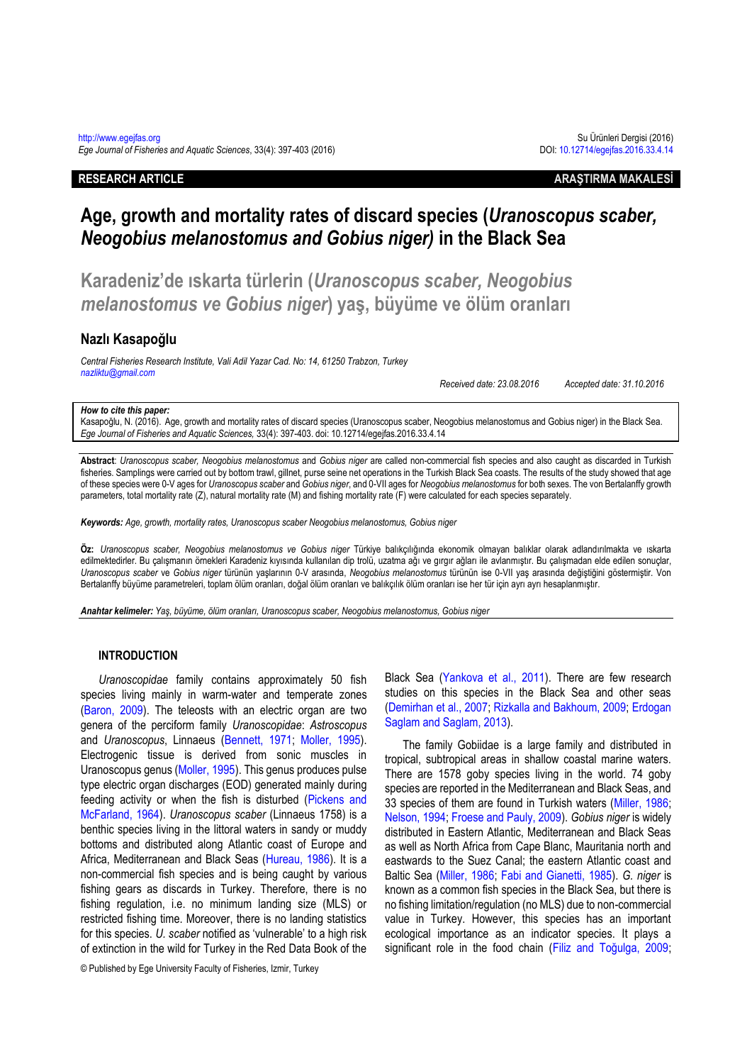### **RESEARCH ARTICLE ARAŞTIRMA MAKALESİ**

# **Age, growth and mortality rates of discard species (***Uranoscopus scaber, Neogobius melanostomus and Gobius niger)* **in the Black Sea**

**Karadeniz'de ıskarta türlerin (***Uranoscopus scaber, Neogobius melanostomus ve Gobius niger***) yaş, büyüme ve ölüm oranları** 

### **Nazlı Kasapoğlu**

*Central Fisheries Research Institute, Vali Adil Yazar Cad. No: 14, 61250 Trabzon, Turkey [nazliktu@gmail.com](mailto:nazliktu@gmail.com)*

*Received date: 23.08.2016 Accepted date: 31.10.2016*

### *How to cite this paper:*

Kasapoğlu, N. (2016). Age, growth and mortality rates of discard species (Uranoscopus scaber, Neogobius melanostomus and Gobius niger) in the Black Sea. *Ege Journal of Fisheries and Aquatic Sciences,* 33(4): 397-403. doi: 10.12714/egejfas.2016.33.4.14

**Abstract**: *Uranoscopus scaber, Neogobius melanostomus* and *Gobius niger* are called non-commercial fish species and also caught as discarded in Turkish fisheries. Samplings were carried out by bottom trawl, gillnet, purse seine net operations in the Turkish Black Sea coasts. The results of the study showed that age of these species were 0-V ages for *Uranoscopus scaber* and *Gobius niger*, and 0-VII ages for *Neogobius melanostomus* for both sexes. The von Bertalanffy growth parameters, total mortality rate (Z), natural mortality rate (M) and fishing mortality rate (F) were calculated for each species separately.

*Keywords: Age, growth, mortality rates, Uranoscopus scaber Neogobius melanostomus, Gobius niger* 

**Öz:** *Uranoscopus scaber, Neogobius melanostomus ve Gobius niger* Türkiye balıkçılığında ekonomik olmayan balıklar olarak adlandırılmakta ve ıskarta edilmektedirler. Bu çalışmanın örnekleri Karadeniz kıyısında kullanılan dip trolü, uzatma ağı ve gırgır ağları ile avlanmıştır. Bu çalışmadan elde edilen sonuçlar, *Uranoscopus scaber* ve *Gobius niger* türünün yaşlarının 0-V arasında, *Neogobius melanostomus* türünün ise 0-VII yaş arasında değiştiğini göstermiştir. Von Bertalanffy büyüme parametreleri, toplam ölüm oranları, doğal ölüm oranları ve balıkçılık ölüm oranları ise her tür için ayrı ayrı hesaplanmıştır.

*Anahtar kelimeler: Yaş, büyüme, ölüm oranları, Uranoscopus scaber, Neogobius melanostomus, Gobius niger*

### **INTRODUCTION**

*Uranoscopidae* family contains approximately 50 fish species living mainly in warm-water and temperate zones [\(Baron,](#page-6-0) 2009). The teleosts with an electric organ are two genera of the perciform family *Uranoscopidae*: *Astroscopus* and *Uranoscopus*, Linnaeus [\(Bennett, 1971;](#page-6-1) [Moller, 1995\)](#page-6-2). Electrogenic tissue is derived from sonic muscles in Uranoscopus genus [\(Moller, 1995\)](#page-6-2). This genus produces pulse type electric organ discharges (EOD) generated mainly during feeding activity or when the fish is disturbed [\(Pickens and](#page-6-3)  [McFarland, 1964\)](#page-6-3). *Uranoscopus scaber* (Linnaeus 1758) is a benthic species living in the littoral waters in sandy or muddy bottoms and distributed along Atlantic coast of Europe and Africa, Mediterranean and Black Seas [\(Hureau, 1986\)](#page-6-4). It is a non-commercial fish species and is being caught by various fishing gears as discards in Turkey. Therefore, there is no fishing regulation, i.e. no minimum landing size (MLS) or restricted fishing time. Moreover, there is no landing statistics for this species. *U. scaber* notified as 'vulnerable' to a high risk of extinction in the wild for Turkey in the Red Data Book of the

© Published by Ege University Faculty of Fisheries, Izmir, Turkey

Black Sea [\(Yankova et al., 2011\)](#page-6-5). There are few research studies on this species in the Black Sea and other seas [\(Demirhan et al., 2007;](#page-6-6) [Rizkalla and Bakhoum, 2009;](#page-6-7) [Erdogan](#page-6-8)  [Saglam and Saglam, 2013\)](#page-6-8).

The family Gobiidae is a large family and distributed in tropical, subtropical areas in shallow coastal marine waters. There are 1578 goby species living in the world. 74 goby species are reported in the Mediterranean and Black Seas, and 33 species of them are found in Turkish waters [\(Miller, 1986;](#page-6-9) [Nelson, 1994;](#page-6-10) [Froese and Pauly, 2009\)](#page-6-11). *Gobius niger* is widely distributed in Eastern Atlantic, Mediterranean and Black Seas as well as North Africa from Cape Blanc, Mauritania north and eastwards to the Suez Canal; the eastern Atlantic coast and Baltic Sea [\(Miller, 1986;](#page-6-9) [Fabi and Gianetti, 1985\)](#page-6-12). *G. niger* is known as a common fish species in the Black Sea, but there is no fishing limitation/regulation (no MLS) due to non-commercial value in Turkey. However, this species has an important ecological importance as an indicator species. It plays a significant role in the food chain ([Filiz and Toğulga, 2009](#page-6-13);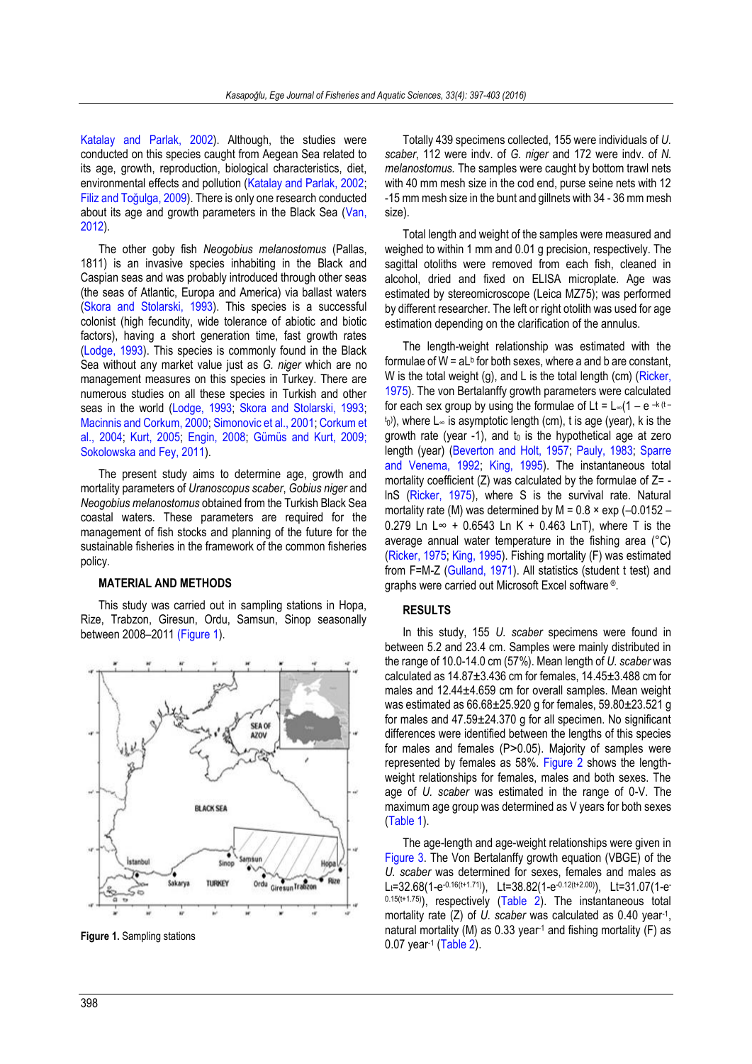[Katalay and Parlak, 2002\)](#page-6-14). Although, the studies were conducted on this species caught from Aegean Sea related to its age, growth, reproduction, biological characteristics, diet, environmental effects and pollution (Katalay and Parlak, 2002; [Filiz and Toğulga, 2009](#page-6-13)). There is only one research conducted about its age and growth parameters in the Black Sea [\(Van,](#page-6-15)  [2012\)](#page-6-15).

The other goby fish *Neogobius melanostomus* (Pallas, 1811) is an invasive species inhabiting in the Black and Caspian seas and was probably introduced through other seas (the seas of Atlantic, Europa and America) via ballast waters [\(Skora and Stolarski, 1993\)](#page-6-16). This species is a successful colonist (high fecundity, wide tolerance of abiotic and biotic factors), having a short generation time, fast growth rates [\(Lodge, 1993\)](#page-6-17). This species is commonly found in the Black Sea without any market value just as *G. niger* which are no management measures on this species in Turkey. There are numerous studies on all these species in Turkish and other seas in the world [\(Lodge, 1993;](#page-6-17) [Skora and Stolarski, 1993;](#page-6-16)  [Macinnis and Corkum, 2000;](#page-6-18) [Simonovic et al., 2001;](#page-6-19) [Corkum et](#page-6-20)  [al., 2004;](#page-6-20) [Kurt, 2005;](#page-6-21) [Engin, 2008;](#page-6-22) [Gümüs and Kurt, 2009;](#page-6-23)  [Sokolowska and Fey, 2011\)](#page-6-24).

The present study aims to determine age, growth and mortality parameters of *Uranoscopus scaber*, *Gobius niger* and *Neogobius melanostomus* obtained from the Turkish Black Sea coastal waters. These parameters are required for the management of fish stocks and planning of the future for the sustainable fisheries in the framework of the common fisheries policy.

### **MATERIAL AND METHODS**

This study was carried out in sampling stations in Hopa, Rize, Trabzon, Giresun, Ordu, Samsun, Sinop seasonally between 2008–201[1 \(Figure 1\)](#page-1-0).



<span id="page-1-0"></span>**Figure 1.** Sampling stations

Totally 439 specimens collected, 155 were individuals of *U. scaber*, 112 were indv. of *G. niger* and 172 were indv. of *N. melanostomus.* The samples were caught by bottom trawl nets with 40 mm mesh size in the cod end, purse seine nets with 12 -15 mm mesh size in the bunt and gillnets with 34 - 36 mm mesh size).

Total length and weight of the samples were measured and weighed to within 1 mm and 0.01 g precision, respectively. The sagittal otoliths were removed from each fish, cleaned in alcohol, dried and fixed on ELISA microplate. Age was estimated by stereomicroscope (Leica MZ75); was performed by different researcher. The left or right otolith was used for age estimation depending on the clarification of the annulus.

The length-weight relationship was estimated with the formulae of  $W = aL<sup>b</sup>$  for both sexes, where a and b are constant, W is the total weight (g), and L is the total length (cm) (Ricker, [1975\)](#page-6-25). The von Bertalanffy growth parameters were calculated for each sex group by using the formulae of Lt =  $L_{\infty}(1 - e^{-k(t - \frac{1}{2})t})$ <sup>t<sub>0</sub>)</sup>, where L∞ is asymptotic length (cm), t is age (year), k is the growth rate (year -1), and  $t_0$  is the hypothetical age at zero length (year) [\(Beverton and Holt, 1957;](#page-6-26) [Pauly, 1983;](#page-6-27) [Sparre](#page-6-28)  [and Venema, 1992;](#page-6-28) [King, 1995\)](#page-6-29). The instantaneous total mortality coefficient  $(Z)$  was calculated by the formulae of  $Z =$ lnS [\(Ricker, 1975\)](#page-6-25), where S is the survival rate. Natural mortality rate (M) was determined by  $M = 0.8 \times exp(-0.0152 -$ 0.279 Ln L∞ + 0.6543 Ln K + 0.463 LnT), where T is the average annual water temperature in the fishing area (°C) [\(Ricker, 1975;](#page-6-25) [King, 1995\)](#page-6-29). Fishing mortality (F) was estimated from F=M-Z [\(Gulland, 1971\)](#page-6-30). All statistics (student t test) and graphs were carried out Microsoft Excel software ®.

### **RESULTS**

In this study, 155 *U. scaber* specimens were found in between 5.2 and 23.4 cm. Samples were mainly distributed in the range of 10.0-14.0 cm (57%). Mean length of *U. scaber* was calculated as 14.87±3.436 cm for females, 14.45±3.488 cm for males and 12.44±4.659 cm for overall samples. Mean weight was estimated as 66.68±25.920 g for females, 59.80±23.521 g for males and 47.59±24.370 g for all specimen. No significant differences were identified between the lengths of this species for males and females (P>0.05). Majority of samples were represented by females as 58%. [Figure 2](#page-3-0) shows the lengthweight relationships for females, males and both sexes. The age of *U. scaber* was estimated in the range of 0-V. The maximum age group was determined as V years for both sexes [\(Table 1\)](#page-2-0).

The age-length and age-weight relationships were given in [Figure 3.](#page-5-0) The Von Bertalanffy growth equation (VBGE) of the *U. scaber* was determined for sexes, females and males as L<sub>t</sub>=32.68(1-e<sup>-0.16(t+1.71)</sup>), Lt=38.82(1-e<sup>-0.12(t+2.00)</sup>), Lt=31.07(1-e<sup>-</sup>  $0.15(t+1.75)$ , respectively [\(Table 2\)](#page-2-1). The instantaneous total mortality rate (Z) of *U. scaber* was calculated as 0.40 year-1 , natural mortality (M) as 0.33 year<sup>1</sup> and fishing mortality (F) as 0.07 year<sup>-1</sup> [\(Table 2\)](#page-2-1).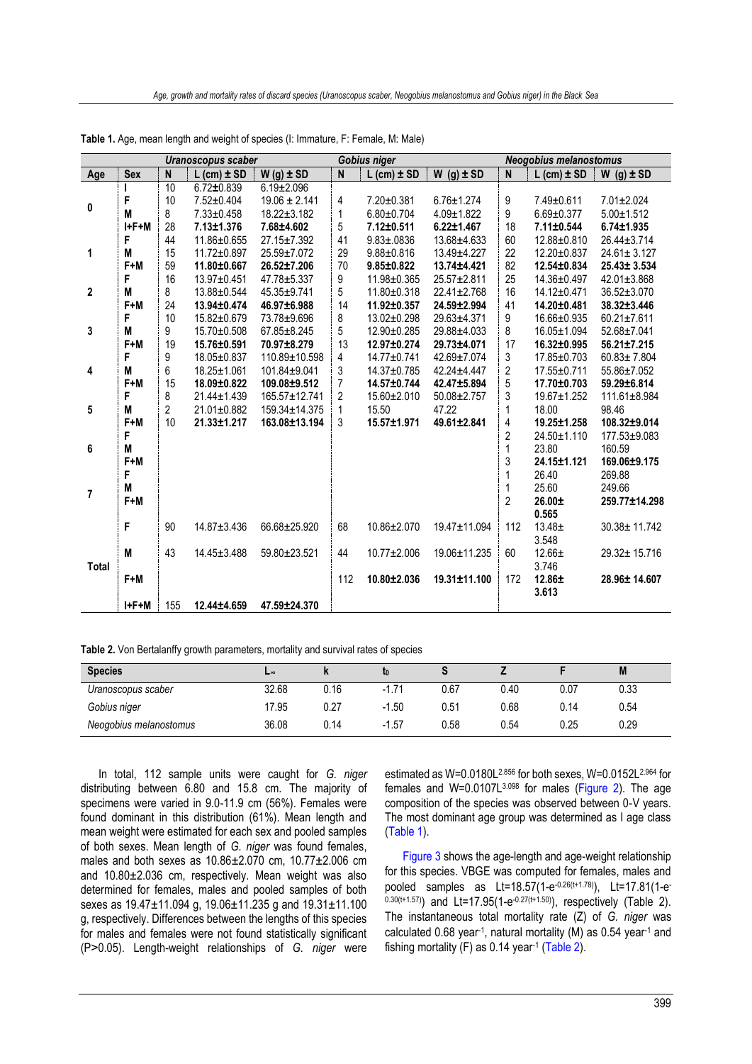|                |             |                         | Uranoscopus scaber |                   |                         | Gobius niger      |                  |                         | <b>Neogobius melanostomus</b> |                   |
|----------------|-------------|-------------------------|--------------------|-------------------|-------------------------|-------------------|------------------|-------------------------|-------------------------------|-------------------|
| Age            | <b>Sex</b>  | $\overline{\mathsf{N}}$ | $L$ (cm) $\pm$ SD  | $W(g) \pm SD$     | $\overline{\mathsf{N}}$ | $L$ (cm) $\pm$ SD | $W$ (g) $\pm$ SD | $\overline{\mathsf{N}}$ | $L$ (cm) $\pm$ SD             | $W$ (g) $\pm$ SD  |
|                |             | 10                      | $6.72 \pm 0.839$   | $6.19 \pm 2.096$  |                         |                   |                  |                         |                               |                   |
| 0              | F           | 10                      | 7.52±0.404         | $19.06 \pm 2.141$ | 4                       | 7.20±0.381        | $6.76 \pm 1.274$ | 9                       | 7.49±0.611                    | 7.01±2.024        |
|                | M           | 8                       | $7.33 \pm 0.458$   | $18.22 \pm 3.182$ | 1                       | $6.80 \pm 0.704$  | $4.09 \pm 1.822$ | 9                       | $6.69 \pm 0.377$              | $5.00 \pm 1.512$  |
|                | $I + F + M$ | 28                      | $7.13 \pm 1.376$   | 7.68±4.602        | 5                       | $7.12 \pm 0.511$  | $6.22 \pm 1.467$ | 18                      | 7.11±0.544                    | $6.74 \pm 1.935$  |
|                | F           | 44                      | 11.86±0.655        | 27.15±7.392       | 41                      | $9.83 \pm .0836$  | 13.68±4.633      | 60                      | 12.88±0.810                   | 26.44±3.714       |
| 1              | M           | 15                      | 11.72±0.897        | 25.59±7.072       | 29                      | $9.88 \pm 0.816$  | 13.49±4.227      | 22                      | 12.20±0.837                   | $24.61 \pm 3.127$ |
|                | $F+M$       | 59                      | 11.80±0.667        | 26.52±7.206       | 70                      | $9.85 \pm 0.822$  | 13.74±4.421      | 82                      | 12.54±0.834                   | 25.43± 3.534      |
|                | F           | 16                      | 13.97±0.451        | 47.78±5.337       | 9                       | 11.98±0.365       | 25.57±2.811      | 25                      | 14.36±0.497                   | 42.01±3.868       |
| $\mathbf 2$    | M           | 8                       | 13.88±0.544        | 45.35±9.741       | 5                       | 11.80±0.318       | 22.41±2.768      | 16                      | 14.12±0.471                   | 36.52±3.070       |
|                | $F+M$       | 24                      | 13.94±0.474        | 46.97±6.988       | 14                      | 11.92±0.357       | 24.59±2.994      | 41                      | 14.20±0.481                   | 38.32±3.446       |
|                | F           | 10                      | 15.82±0.679        | 73.78±9.696       | 8                       | 13.02±0.298       | 29.63±4.371      | $\boldsymbol{9}$        | 16.66±0.935                   | $60.21 \pm 7.611$ |
| 3              | M           | 9                       | 15.70±0.508        | 67.85±8.245       | 5                       | 12.90±0.285       | 29.88±4.033      | 8                       | 16.05±1.094                   | 52.68±7.041       |
|                | $F+M$       | 19                      | 15.76±0.591        | 70.97±8.279       | 13                      | 12.97±0.274       | 29.73±4.071      | 17                      | 16.32±0.995                   | 56.21±7.215       |
|                | F           | 9                       | 18.05±0.837        | 110.89±10.598     | $\overline{4}$          | 14.77±0.741       | 42.69±7.074      | 3                       | 17.85±0.703                   | $60.83 \pm 7.804$ |
| 4              | M           | 6                       | 18.25±1.061        | 101.84±9.041      | 3                       | 14.37±0.785       | 42.24±4.447      | 2                       | 17.55±0.711                   | 55.86±7.052       |
|                | $F+M$       | 15                      | 18.09±0.822        | 109.08±9.512      | 7                       | 14.57±0.744       | 42.47±5.894      | 5                       | 17.70±0.703                   | 59.29±6.814       |
|                | F           | 8                       | 21.44±1.439        | 165.57±12.741     | $\overline{2}$          | 15.60±2.010       | 50.08±2.757      | 3                       | 19.67±1.252                   | 111.61±8.984      |
| ${\bf 5}$      | M           | 2                       | 21.01±0.882        | 159.34±14.375     | 1                       | 15.50             | 47.22            | 1                       | 18.00                         | 98.46             |
|                | $F+M$       | 10                      | $21.33 \pm 1.217$  | 163.08±13.194     | 3                       | 15.57±1.971       | 49.61±2.841      | 4                       | $19.25 \pm 1.258$             | 108.32±9.014      |
|                | F           |                         |                    |                   |                         |                   |                  | $\overline{2}$          | 24.50±1.110                   | 177.53±9.083      |
| 6              | M           |                         |                    |                   |                         |                   |                  | $\mathbf{1}$            | 23.80                         | 160.59            |
|                | $F+M$       |                         |                    |                   |                         |                   |                  | 3                       | 24.15±1.121                   | 169.06±9.175      |
|                | F           |                         |                    |                   |                         |                   |                  | 1                       | 26.40                         | 269.88            |
| $\overline{7}$ | M           |                         |                    |                   |                         |                   |                  | 1                       | 25.60                         | 249.66            |
|                | $F+M$       |                         |                    |                   |                         |                   |                  | 2                       | $26.00 \pm$                   | 259.77±14.298     |
|                |             |                         |                    |                   |                         |                   |                  |                         | 0.565                         |                   |
|                | F           | 90                      | 14.87±3.436        | 66.68±25.920      | 68                      | 10.86±2.070       | 19.47±11.094     | 112                     | $13.48 \pm$                   | 30.38± 11.742     |
|                |             |                         |                    |                   |                         |                   |                  |                         | 3.548                         |                   |
|                | M           | 43                      | 14.45±3.488        | 59.80±23.521      | 44                      | 10.77±2.006       | 19.06±11.235     | 60                      | $12.66 \pm$                   | 29.32± 15.716     |
| Total          |             |                         |                    |                   |                         |                   |                  |                         | 3.746                         |                   |
|                | $F+M$       |                         |                    |                   | 112                     | 10.80±2.036       | 19.31±11.100     | 172                     | $12.86 \pm$                   | 28.96± 14.607     |
|                |             |                         |                    |                   |                         |                   |                  |                         | 3.613                         |                   |
|                | $I + F + M$ | 155                     | 12.44±4.659        | 47.59±24.370      |                         |                   |                  |                         |                               |                   |

<span id="page-2-0"></span>**Table 1.** Age, mean length and weight of species (I: Immature, F: Female, M: Male)

<span id="page-2-1"></span>

| Table 2. Von Bertalanffy growth parameters, mortality and survival rates of species |  |  |  |
|-------------------------------------------------------------------------------------|--|--|--|
|                                                                                     |  |  |  |

| <b>Species</b>         | ┗∞    | "    |             |      |      |      | M    |
|------------------------|-------|------|-------------|------|------|------|------|
| Uranoscopus scaber     | 32.68 | 0.16 | 1.71<br>- 1 | 0.67 | 0.40 | 0.07 | 0.33 |
| Gobius niger           | 17.95 | 0.27 | $-1.50$     | 0.51 | 0.68 | 0.14 | 0.54 |
| Neogobius melanostomus | 36.08 | 0.14 | $-1.57$     | 0.58 | 0.54 | 0.25 | 0.29 |

In total, 112 sample units were caught for *G. niger* distributing between 6.80 and 15.8 cm. The majority of specimens were varied in 9.0-11.9 cm (56%). Females were found dominant in this distribution (61%). Mean length and mean weight were estimated for each sex and pooled samples of both sexes. Mean length of *G. niger* was found females, males and both sexes as 10.86±2.070 cm, 10.77±2.006 cm and 10.80±2.036 cm, respectively. Mean weight was also determined for females, males and pooled samples of both sexes as 19.47±11.094 g, 19.06±11.235 g and 19.31±11.100 g, respectively. Differences between the lengths of this species for males and females were not found statistically significant (P˃0.05). Length-weight relationships of *G. niger* were

estimated as W=0.0180L2.856 for both sexes, W=0.0152L2.964 for females and W=0.0107L3.098 for males [\(Figure 2\)](#page-3-0). The age composition of the species was observed between 0-V years. The most dominant age group was determined as I age class [\(Table 1\)](#page-2-0).

[Figure 3](#page-5-0) shows the age-length and age-weight relationship for this species. VBGE was computed for females, males and pooled samples as Lt=18.57(1-e<sup>-0.26(t+1.78)</sup>), Lt=17.81(1-e  $(0.30(t+1.57))$  and Lt=17.95(1-e<sup>-0.27(t+1.50)</sup>), respectively (Table 2). The instantaneous total mortality rate (Z) of *G. niger* was calculated 0.68 year-1 , natural mortality (M) as 0.54 year-1 and fishing mortality (F) as 0.14 year-1 [\(Table 2\)](#page-2-1).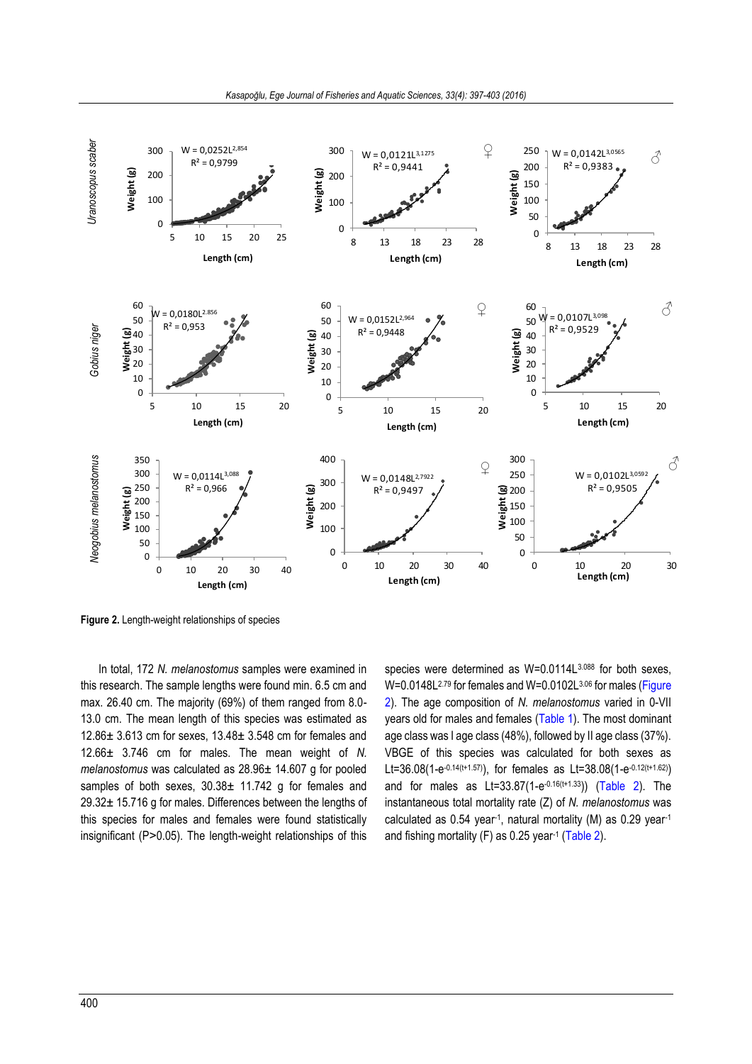

<span id="page-3-0"></span>**Figure 2.** Length-weight relationships of species

<span id="page-3-1"></span>In total, 172 *N. melanostomus* samples were examined in this research. The sample lengths were found min. 6.5 cm and max. 26.40 cm. The majority (69%) of them ranged from 8.0- 13.0 cm. The mean length of this species was estimated as 12.86± 3.613 cm for sexes, 13.48± 3.548 cm for females and 12.66± 3.746 cm for males. The mean weight of *N. melanostomus* was calculated as 28.96± 14.607 g for pooled samples of both sexes,  $30.38 \pm 11.742$  g for females and 29.32± 15.716 g for males. Differences between the lengths of this species for males and females were found statistically insignificant (P>0.05). The length-weight relationships of this species were determined as W=0.0114L3.088 for both sexes, W=0.0148L<sup>2.79</sup> for females and W=0.0102L<sup>3.06</sup> for males (Figure [2\)](#page-3-0). The age composition of *N. melanostomus* varied in 0-VII years old for males and females [\(Table 1\)](#page-2-0). The most dominant age class was I age class (48%), followed by II age class (37%). VBGE of this species was calculated for both sexes as Lt=36.08(1-e<sup>-0.14(t+1.57)</sup>), for females as Lt=38.08(1-e<sup>-0.12(t+1.62)</sup>) and for males as Lt=33.87(1-e<sup>-0.16(t+1.33</sup>)) [\(Table 2\)](#page-2-1). The instantaneous total mortality rate (Z) of *N. melanostomus* was calculated as 0.54 year-1 , natural mortality (M) as 0.29 year-1 and fishing mortality  $(F)$  as 0.25 year<sup>-1</sup> [\(Table 2\)](#page-2-1).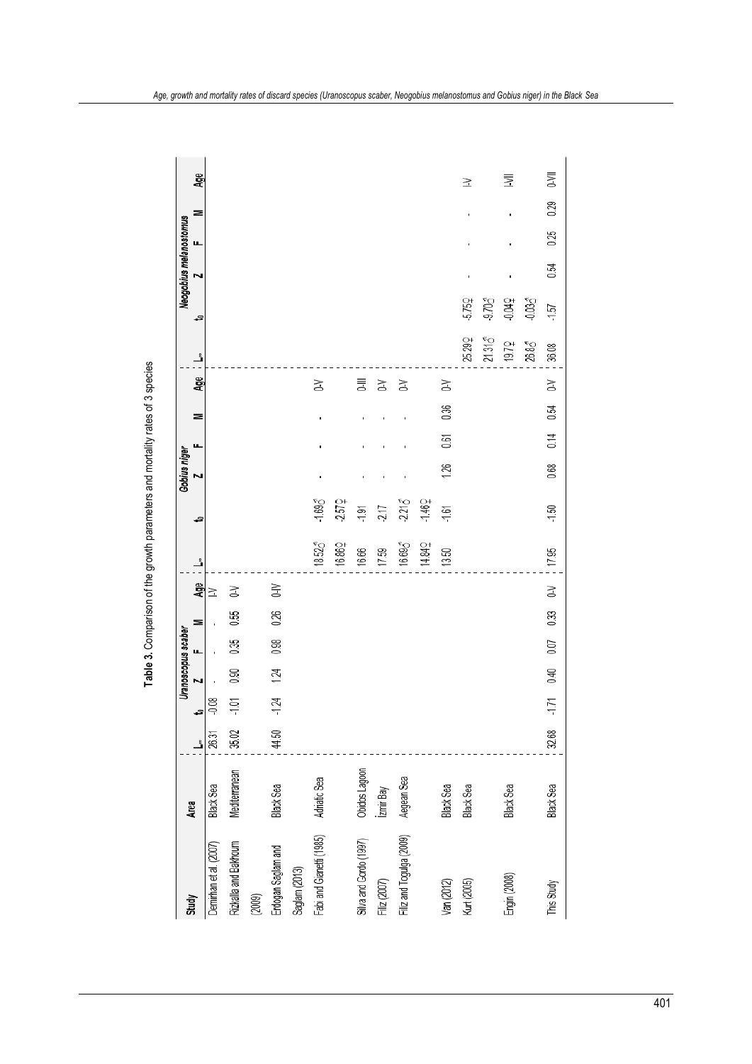|                          |               |       |         |      | Uranoscopus scaber |      |            |                    |          | Gobius niger |      |      |     |        |          | Neogobius melanostomus |      |      |        |
|--------------------------|---------------|-------|---------|------|--------------------|------|------------|--------------------|----------|--------------|------|------|-----|--------|----------|------------------------|------|------|--------|
| <b>Study</b>             | Area          | Ľ     | ₽       | N    | щ.                 | ⋝    | <b>Age</b> | Ľ                  | 5        |              | ц    | ⋝    | Age | ڐ      | -9       | Σ                      | щ.   | ⋝    | Age    |
| Demirhan et al. (2007)   | Black Sea     | 26.31 | $-0.08$ |      |                    |      | ≧          |                    |          |              |      |      |     |        |          |                        |      |      |        |
| Rizkalla and Bakhoum     | Mediterranean | 35.02 | $-101$  | 8.0  | 0.35               | 0.55 | ₹          |                    |          |              |      |      |     |        |          |                        |      |      |        |
| (2009)                   |               |       |         |      |                    |      |            |                    |          |              |      |      |     |        |          |                        |      |      |        |
| Erdogan Saglam and       | Black Sea     | 44.50 | $-1.24$ | 124  | 0.98               | 0.26 | $\geq$     |                    |          |              |      |      |     |        |          |                        |      |      |        |
| Saglam (2013)            |               |       |         |      |                    |      |            |                    |          |              |      |      |     |        |          |                        |      |      |        |
| Fabi and Gianetti (1985) | Adriatic Sea  |       |         |      |                    |      |            | 18.52 <sub>0</sub> | $-1.694$ |              |      |      | Z   |        |          |                        |      |      |        |
|                          |               |       |         |      |                    |      |            | 16.862             | -2.572   |              |      |      |     |        |          |                        |      |      |        |
| Silva and Gordo (1997)   | Obidos Lagoon |       |         |      |                    |      |            | 16.66              | $-1.91$  |              |      |      | 言   |        |          |                        |      |      |        |
| Filiz (2007)             | İzmir Bay     |       |         |      |                    |      |            | 17.59              | -217     |              |      |      | Z   |        |          |                        |      |      |        |
| Filiz and Togulga (2009) | Aegean Sea    |       |         |      |                    |      |            | 16.693             | $-2.215$ |              |      |      | Z   |        |          |                        |      |      |        |
|                          |               |       |         |      |                    |      |            | 14.842             | -1.462   |              |      |      |     |        |          |                        |      |      |        |
| Van (2012)               | Black Sea     |       |         |      |                    |      |            | 13.50              | $-1.61$  | 1.26         | 0.61 | 0.36 | š   |        |          |                        |      |      |        |
| Kurt (2005)              | Black Sea     |       |         |      |                    |      |            |                    |          |              |      |      |     | 25.292 | $-5.750$ |                        |      |      | $\geq$ |
|                          |               |       |         |      |                    |      |            |                    |          |              |      |      |     | 21.315 | $-9.704$ |                        |      |      |        |
| Engin (2008)             | Black Sea     |       |         |      |                    |      |            |                    |          |              |      |      |     | 19.72  | $-0.049$ |                        |      |      | 三      |
|                          |               |       |         |      |                    |      |            |                    |          |              |      |      |     | 26.85  | $-0.03$  |                        |      |      |        |
| This Study               | Black Sea     | 32.68 | $-1.71$ | 0.40 | 0.07               | 0.33 | $\gtrsim$  | 17.95              | $-1.50$  | 0.68         | 0.14 | 0.54 | λŚ  | 36,08  | -1.57    | 54<br>0.54             | 0.25 | 0.29 | D-VII  |

# Table 3. Comparison of the growth parameters and mortality rates of 3 species **Table 3.** Comparison of the growth parameters and mortality rates of 3 species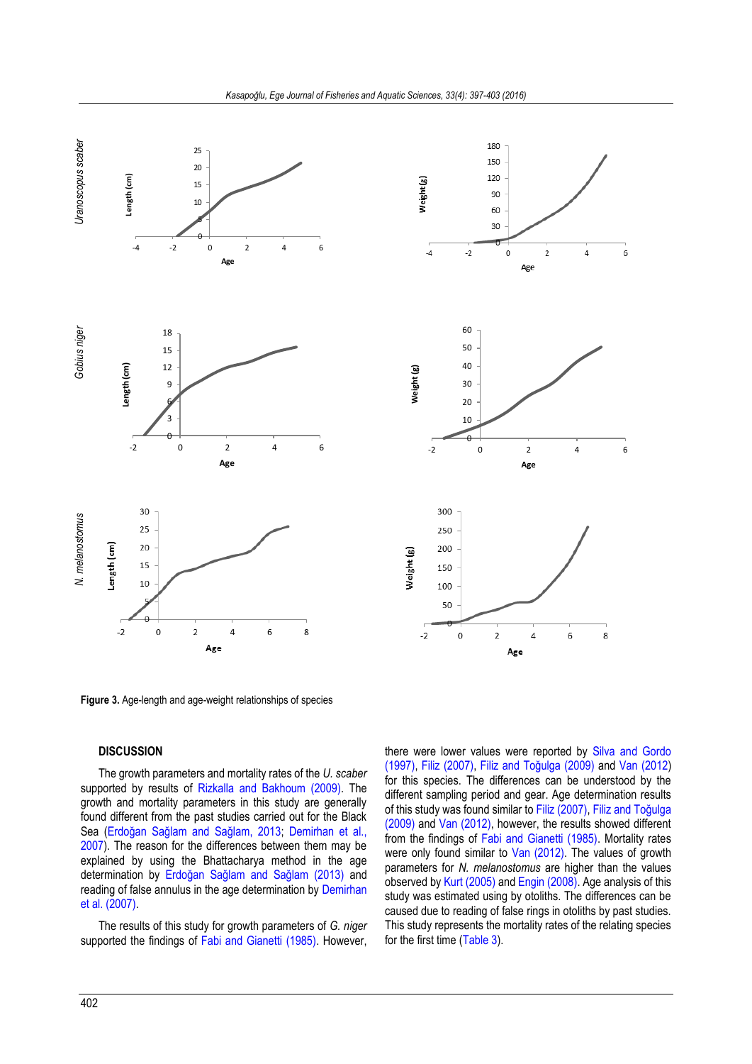



<span id="page-5-0"></span>**Figure 3.** Age-length and age-weight relationships of species

### **DISCUSSION**

The growth parameters and mortality rates of the *U. scaber* supported by results of [Rizkalla and Bakhoum \(2009\).](#page-6-7) The growth and mortality parameters in this study are generally found different from the past studies carried out for the Black Sea ([Erdoğan Sağlam and Sağlam, 2013](#page-6-8); [Demirhan et al.,](#page-6-6)  [2007\)](#page-6-6). The reason for the differences between them may be explained by using the Bhattacharya method in the age determination by [Erdoğan Sağlam and Sağlam \(2013\)](#page-6-8) and reading of false annulus in the age determination by [Demirhan](#page-6-6)  [et al. \(2007\).](#page-6-6) 

The results of this study for growth parameters of *G. niger* supported the findings of [Fabi and Gianetti \(1985\).](#page-6-12) However, there were lower values were reported by [Silva and Gordo](#page-6-31)  [\(1997\),](#page-6-31) [Filiz \(2007\),](#page-6-32) Fili[z and Toğulga \(2009\)](#page-6-13) and [Van \(2012\)](#page-6-15) for this species. The differences can be understood by the different sampling period and gear. Age determination results of this study was found similar t[o Filiz \(2007\),](#page-6-32) [Filiz and Toğulga](#page-6-13)  [\(2009\)](#page-6-13) an[d Van \(2012\),](#page-6-15) however, the results showed different from the findings of [Fabi and Gianetti \(1985\).](#page-6-12) Mortality rates were only found similar to [Van \(2012\).](#page-6-15) The values of growth parameters for *N. melanostomus* are higher than the values observed b[y Kurt \(2005\)](#page-6-21) an[d Engin \(2008\).](#page-6-22) Age analysis of this study was estimated using by otoliths. The differences can be caused due to reading of false rings in otoliths by past studies. This study represents the mortality rates of the relating species for the first time [\(Table 3\)](#page-3-1).